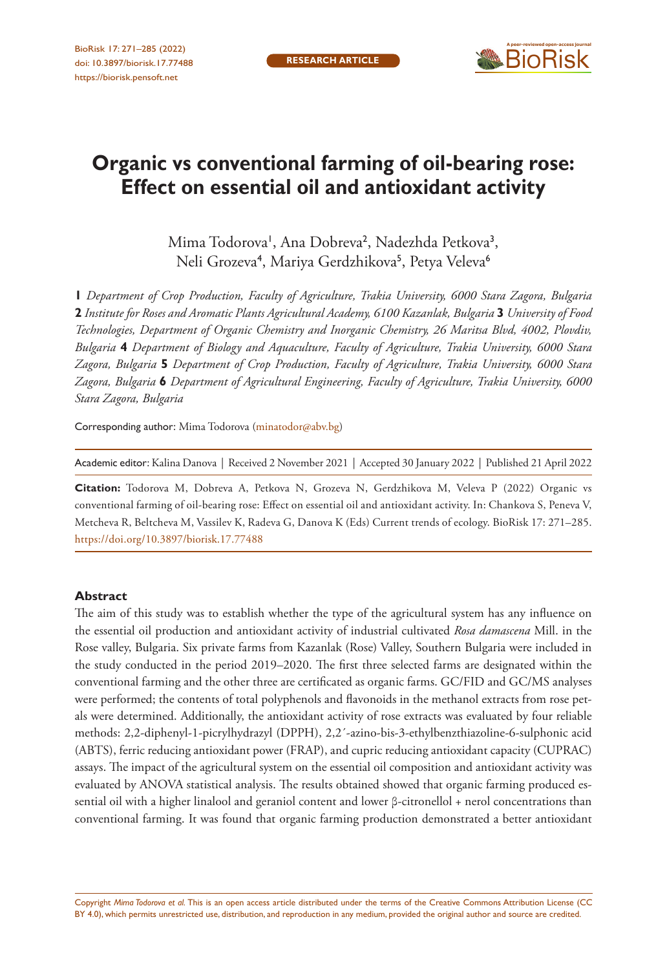

# **Organic vs conventional farming of oil-bearing rose: Effect on essential oil and antioxidant activity**

Mima Todorova', Ana Dobreva<sup>2</sup>, Nadezhda Petkova<sup>3</sup>, Neli Grozeva<sup>4</sup>, Mariya Gerdzhikova<sup>5</sup>, Petya Veleva<sup>6</sup>

**1** *Department of Crop Production, Faculty of Agriculture, Trakia University, 6000 Stara Zagora, Bulgaria*  **2** *Institute for Roses and Aromatic Plants Agricultural Academy, 6100 Kazanlak, Bulgaria* **3** *University of Food Technologies, Department of Organic Chemistry and Inorganic Chemistry, 26 Maritsa Blvd, 4002, Plovdiv, Bulgaria* **4** *Department of Biology and Aquaculture, Faculty of Agriculture, Trakia University, 6000 Stara Zagora, Bulgaria* **5** *Department of Crop Production, Faculty of Agriculture, Trakia University, 6000 Stara Zagora, Bulgaria* **6** *Department of Agricultural Engineering, Faculty of Agriculture, Trakia University, 6000 Stara Zagora, Bulgaria*

Corresponding author: Mima Todorova ([minatodor@abv.bg](mailto:minatodor@abv.bg))

Academic editor: Kalina Danova | Received 2 November 2021 | Accepted 30 January 2022 | Published 21 April 2022

**Citation:** Todorova M, Dobreva A, Petkova N, Grozeva N, Gerdzhikova M, Veleva P (2022) Organic vs conventional farming of oil-bearing rose: Effect on essential oil and antioxidant activity. In: Chankova S, Peneva V, Metcheva R, Beltcheva M, Vassilev K, Radeva G, Danova K (Eds) Current trends of ecology. BioRisk 17: 271–285. <https://doi.org/10.3897/biorisk.17.77488>

#### **Abstract**

The aim of this study was to establish whether the type of the agricultural system has any influence on the essential oil production and antioxidant activity of industrial cultivated *Rosa damascena* Mill. in the Rose valley, Bulgaria. Six private farms from Kazanlak (Rose) Valley, Southern Bulgaria were included in the study conducted in the period 2019–2020. The first three selected farms are designated within the conventional farming and the other three are certificated as organic farms. GC/FID and GC/MS analyses were performed; the contents of total polyphenols and flavonoids in the methanol extracts from rose petals were determined. Additionally, the antioxidant activity of rose extracts was evaluated by four reliable methods: 2,2-diphenyl-1-picrylhydrazyl (DPPH), 2,2´-azino-bis-3-ethylbenzthiazoline-6-sulphonic acid (ABTS), ferric reducing antioxidant power (FRAP), and cupric reducing antioxidant capacity (CUPRAC) assays. The impact of the agricultural system on the essential oil composition and antioxidant activity was evaluated by ANOVA statistical analysis. The results obtained showed that organic farming produced essential oil with a higher linalool and geraniol content and lower β-citronellol + nerol concentrations than conventional farming. It was found that organic farming production demonstrated a better antioxidant

Copyright *Mima Todorova et al.* This is an open access article distributed under the terms of the [Creative Commons Attribution License \(CC](http://creativecommons.org/licenses/by/4.0/)  [BY 4.0\)](http://creativecommons.org/licenses/by/4.0/), which permits unrestricted use, distribution, and reproduction in any medium, provided the original author and source are credited.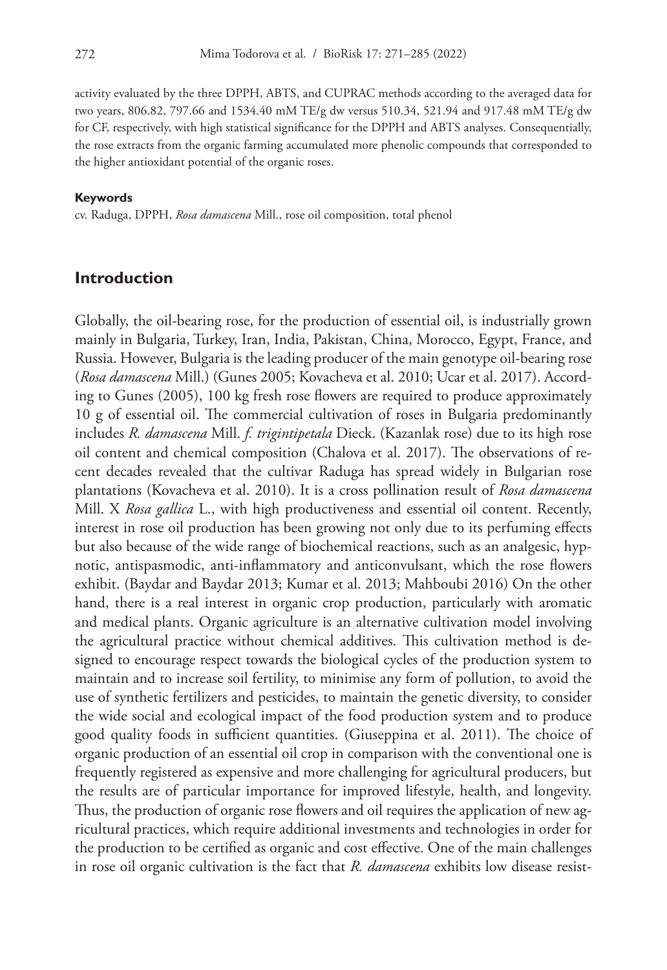activity evaluated by the three DPPH, ABTS, and CUPRAC methods according to the averaged data for two years, 806.82, 797.66 and 1534.40 mM TE/g dw versus 510.34, 521.94 and 917.48 mM TE/g dw for CF, respectively, with high statistical significance for the DPPH and ABTS analyses. Consequentially, the rose extracts from the organic farming accumulated more phenolic compounds that corresponded to the higher antioxidant potential of the organic roses.

#### **Keywords**

cv. Raduga, DPPH, *Rosa damascena* Mill., rose oil composition, total phenol

## **Introduction**

Globally, the oil-bearing rose, for the production of essential oil, is industrially grown mainly in Bulgaria, Turkey, Iran, India, Pakistan, China, Morocco, Egypt, France, and Russia. However, Bulgaria is the leading producer of the main genotype oil-bearing rose (*Rosa damascena* Mill.) (Gunes 2005; Kovacheva et al. 2010; Ucar et al. 2017). According to Gunes (2005), 100 kg fresh rose flowers are required to produce approximately 10 g of essential oil. The commercial cultivation of roses in Bulgaria predominantly includes *R. damascena* Mill. *f. trigintipetala* Dieck. (Kazanlak rose) due to its high rose oil content and chemical composition (Chalova et al. 2017). The observations of recent decades revealed that the cultivar Raduga has spread widely in Bulgarian rose plantations (Kovacheva et al. 2010). It is a cross pollination result of *Rosa damascena* Mill. X *Rosa gallica* L., with high productiveness and essential oil content. Recently, interest in rose oil production has been growing not only due to its perfuming effects but also because of the wide range of biochemical reactions, such as an analgesic, hypnotic, antispasmodic, anti-inflammatory and anticonvulsant, which the rose flowers exhibit. (Baydar and Baydar 2013; Kumar et al. 2013; Mahboubi 2016) On the other hand, there is a real interest in organic crop production, particularly with aromatic and medical plants. Organic agriculture is an alternative cultivation model involving the agricultural practice without chemical additives. This cultivation method is designed to encourage respect towards the biological cycles of the production system to maintain and to increase soil fertility, to minimise any form of pollution, to avoid the use of synthetic fertilizers and pesticides, to maintain the genetic diversity, to consider the wide social and ecological impact of the food production system and to produce good quality foods in sufficient quantities. (Giuseppina et al. 2011). The choice of organic production of an essential oil crop in comparison with the conventional one is frequently registered as expensive and more challenging for agricultural producers, but the results are of particular importance for improved lifestyle, health, and longevity. Thus, the production of organic rose flowers and oil requires the application of new agricultural practices, which require additional investments and technologies in order for the production to be certified as organic and cost effective. One of the main challenges in rose oil organic cultivation is the fact that *R. damascena* exhibits low disease resist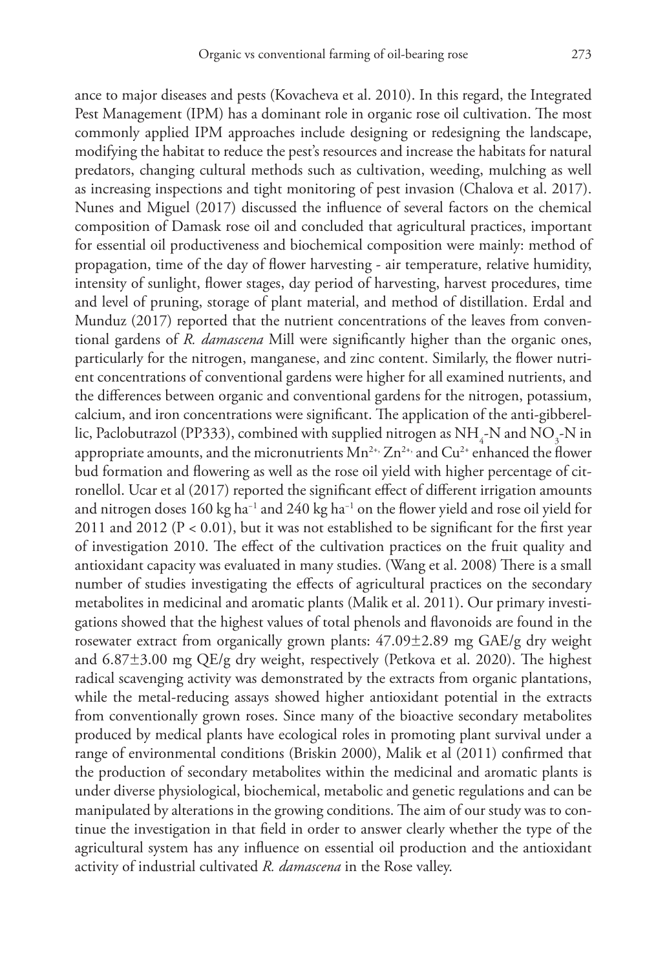ance to major diseases and pests (Kovacheva et al. 2010). In this regard, the Integrated Pest Management (IPM) has a dominant role in organic rose oil cultivation. The most commonly applied IPM approaches include designing or redesigning the landscape, modifying the habitat to reduce the pest's resources and increase the habitats for natural predators, changing cultural methods such as cultivation, weeding, mulching as well as increasing inspections and tight monitoring of pest invasion (Chalova et al. 2017). Nunes and Miguel (2017) discussed the influence of several factors on the chemical composition of Damask rose oil and concluded that agricultural practices, important for essential oil productiveness and biochemical composition were mainly: method of propagation, time of the day of flower harvesting - air temperature, relative humidity, intensity of sunlight, flower stages, day period of harvesting, harvest procedures, time and level of pruning, storage of plant material, and method of distillation. Erdal and Munduz (2017) reported that the nutrient concentrations of the leaves from conventional gardens of *R. damascena* Mill were significantly higher than the organic ones, particularly for the nitrogen, manganese, and zinc content. Similarly, the flower nutrient concentrations of conventional gardens were higher for all examined nutrients, and the differences between organic and conventional gardens for the nitrogen, potassium, calcium, and iron concentrations were significant. The application of the anti-gibberellic, Paclobutrazol (PP333), combined with supplied nitrogen as  $\mathrm{NH}_4$ -N and  $\mathrm{NO}_3$ -N in appropriate amounts, and the micronutrients  $Mn^{2+}$ ,  $Zn^{2+}$ , and  $Cu^{2+}$  enhanced the flower bud formation and flowering as well as the rose oil yield with higher percentage of citronellol. Ucar et al (2017) reported the significant effect of different irrigation amounts and nitrogen doses 160 kg ha−1 and 240 kg ha−1 on the flower yield and rose oil yield for 2011 and 2012 ( $P < 0.01$ ), but it was not established to be significant for the first year of investigation 2010. The effect of the cultivation practices on the fruit quality and antioxidant capacity was evaluated in many studies. (Wang et al. 2008) There is a small number of studies investigating the effects of agricultural practices on the secondary metabolites in medicinal and aromatic plants (Malik et al. 2011). Our primary investigations showed that the highest values of total phenols and flavonoids are found in the rosewater extract from organically grown plants: 47.09±2.89 mg GAE/g dry weight and 6.87±3.00 mg QE/g dry weight, respectively (Petkova et al. 2020). The highest radical scavenging activity was demonstrated by the extracts from organic plantations, while the metal-reducing assays showed higher antioxidant potential in the extracts from conventionally grown roses. Since many of the bioactive secondary metabolites produced by medical plants have ecological roles in promoting plant survival under a range of environmental conditions (Briskin 2000), Malik et al (2011) confirmed that the production of secondary metabolites within the medicinal and aromatic plants is under diverse physiological, biochemical, metabolic and genetic regulations and can be manipulated by alterations in the growing conditions. The aim of our study was to continue the investigation in that field in order to answer clearly whether the type of the agricultural system has any influence on essential oil production and the antioxidant activity of industrial cultivated *R. damascena* in the Rose valley.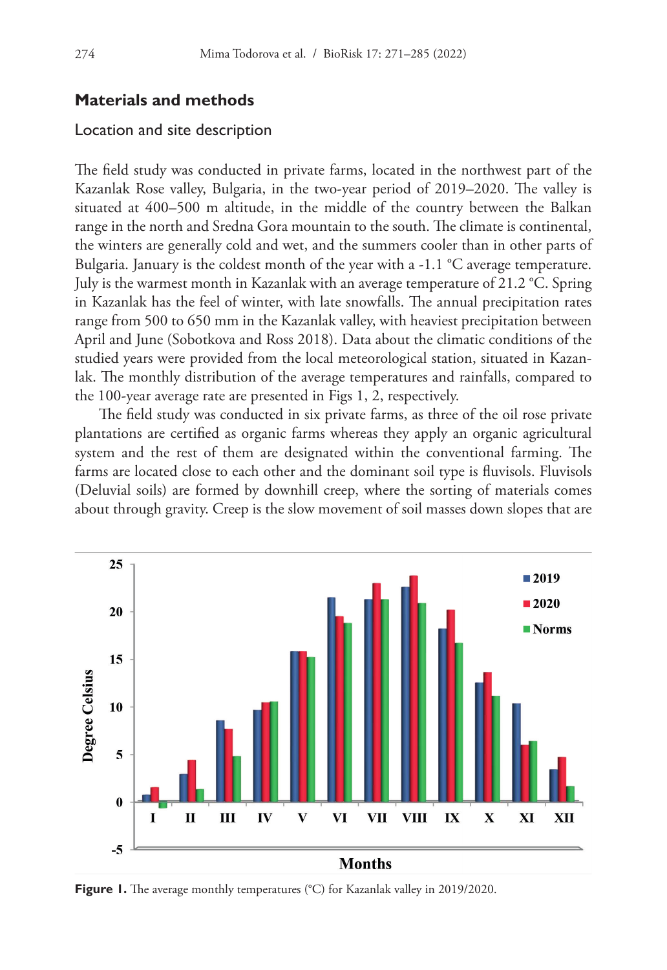# **Materials and methods**

#### Location and site description

The field study was conducted in private farms, located in the northwest part of the Kazanlak Rose valley, Bulgaria, in the two-year period of 2019–2020. The valley is situated at 400–500 m altitude, in the middle of the country between the Balkan range in the north and Sredna Gora mountain to the south. The climate is continental, the winters are generally cold and wet, and the summers cooler than in other parts of Bulgaria. January is the coldest month of the year with a -1.1 °C average temperature. July is the warmest month in Kazanlak with an average temperature of 21.2 °C. Spring in Kazanlak has the feel of winter, with late snowfalls. The annual precipitation rates range from 500 to 650 mm in the Kazanlak valley, with heaviest precipitation between April and June (Sobotkova and Ross 2018). Data about the climatic conditions of the studied years were provided from the local meteorological station, situated in Kazanlak. The monthly distribution of the average temperatures and rainfalls, compared to the 100-year average rate are presented in Figs 1, 2, respectively.

The field study was conducted in six private farms, as three of the oil rose private plantations are certified as organic farms whereas they apply an organic agricultural system and the rest of them are designated within the conventional farming. The farms are located close to each other and the dominant soil type is fluvisols. Fluvisols (Deluvial soils) are formed by downhill creep, where the sorting of materials comes about through gravity. Creep is the slow movement of soil masses down slopes that are



**Figure 1.** The average monthly temperatures (°C) for Kazanlak valley in 2019/2020.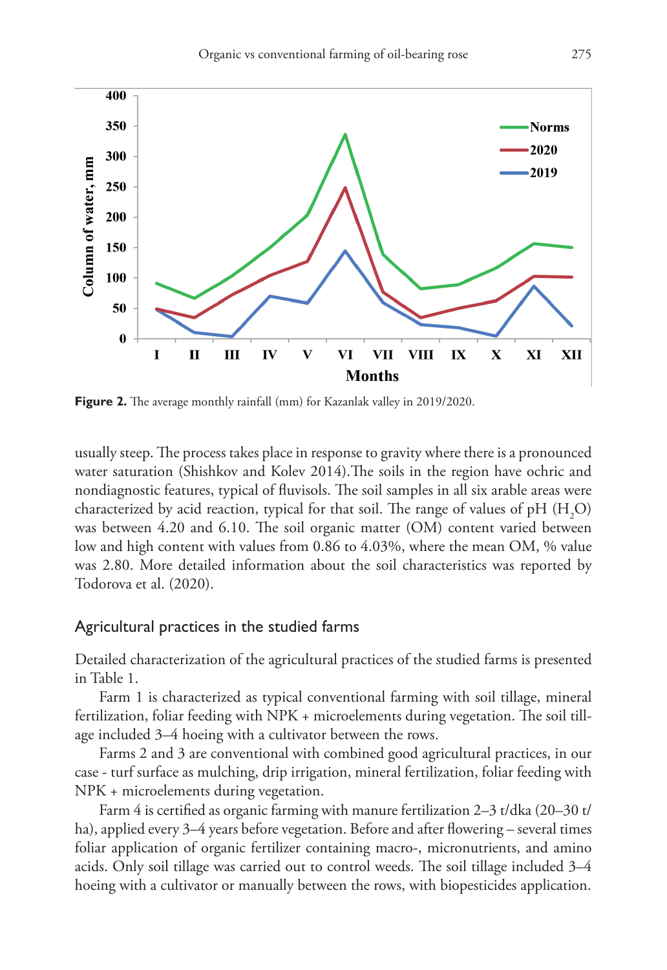

**Figure 2.** The average monthly rainfall (mm) for Kazanlak valley in 2019/2020.

usually steep. The process takes place in response to gravity where there is a pronounced water saturation (Shishkov and Kolev 2014).The soils in the region have ochric and nondiagnostic features, typical of fluvisols. The soil samples in all six arable areas were characterized by acid reaction, typical for that soil. The range of values of pH  $(\mathrm{H}_{2}\mathrm{O})$ was between 4.20 and 6.10. The soil organic matter (OM) content varied between low and high content with values from 0.86 to 4.03%, where the mean OM, % value was 2.80. More detailed information about the soil characteristics was reported by Todorova et al. (2020).

#### Agricultural practices in the studied farms

Detailed characterization of the agricultural practices of the studied farms is presented in Table 1.

Farm 1 is characterized as typical conventional farming with soil tillage, mineral fertilization, foliar feeding with NPK + microelements during vegetation. The soil tillage included 3–4 hoeing with a cultivator between the rows.

Farms 2 and 3 are conventional with combined good agricultural practices, in our case - turf surface as mulching, drip irrigation, mineral fertilization, foliar feeding with NPK + microelements during vegetation.

Farm 4 is certified as organic farming with manure fertilization 2–3 t/dka (20–30 t/ ha), applied every 3–4 years before vegetation. Before and after flowering – several times foliar application of organic fertilizer containing macro-, micronutrients, and amino acids. Only soil tillage was carried out to control weeds. The soil tillage included 3–4 hoeing with a cultivator or manually between the rows, with biopesticides application.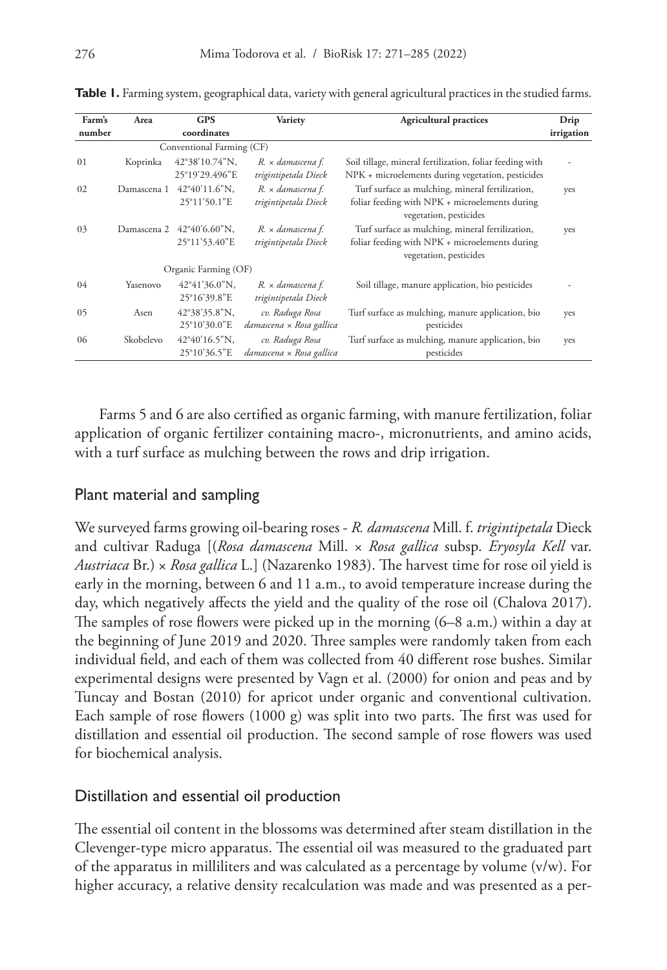| Farm's | Area        | <b>GPS</b>                                 | Variety                                     | <b>Agricultural practices</b>                                                                                                | Drip           |
|--------|-------------|--------------------------------------------|---------------------------------------------|------------------------------------------------------------------------------------------------------------------------------|----------------|
| number |             | coordinates                                |                                             |                                                                                                                              | irrigation     |
|        |             | Conventional Farming (CF)                  |                                             |                                                                                                                              |                |
| 01     | Koprinka    | 42°38'10.74"N,<br>25°19'29.496"E           | R. × damascena f.<br>trigintipetala Dieck   | Soil tillage, mineral fertilization, foliar feeding with<br>NPK + microelements during vegetation, pesticides                | $\overline{a}$ |
| 02     | Damascena 1 | 42°40'11.6"N.<br>25°11'50.1"E              | R. x damascena f.<br>trigintipetala Dieck   | Turf surface as mulching, mineral fertilization,<br>foliar feeding with NPK + microelements during<br>vegetation, pesticides | yes            |
| 03     |             | Damascena 2 42°40'6.60"N,<br>25°11'53.40"E | R. × damascena f.<br>trigintipetala Dieck   | Turf surface as mulching, mineral fertilization,<br>foliar feeding with NPK + microelements during<br>vegetation, pesticides | yes            |
|        |             | Organic Farming (OF)                       |                                             |                                                                                                                              |                |
| 04     | Yasenovo    | $42^{\circ}41'36.0''$ N.<br>25°16'39.8"E   | R. × damascena f.<br>trigintipetala Dieck   | Soil tillage, manure application, bio pesticides                                                                             |                |
| 05     | Asen        | $42^{\circ}38'35.8''N.$<br>25°10'30.0"E    | cv. Raduga Rosa<br>damascena x Rosa gallica | Turf surface as mulching, manure application, bio<br>pesticides                                                              | yes            |
| 06     | Skobelevo   | 42°40'16.5"N.<br>25°10'36.5"E              | cv. Raduga Rosa<br>damascena x Rosa gallica | Turf surface as mulching, manure application, bio<br>pesticides                                                              | yes            |

**Table 1.** Farming system, geographical data, variety with general agricultural practices in the studied farms.

Farms 5 and 6 are also certified as organic farming, with manure fertilization, foliar application of organic fertilizer containing macro-, micronutrients, and amino acids, with a turf surface as mulching between the rows and drip irrigation.

# Plant material and sampling

We surveyed farms growing oil-bearing roses - *R. damascena* Mill. f. *trigintipetala* Dieck and cultivar Raduga [(*Rosa damascena* Mill. × *Rosa gallica* subsp. *Eryosyla Kell* var. *Austriaca* Br.) × *Rosa gallica* L.] (Nazarenko 1983). The harvest time for rose oil yield is early in the morning, between 6 and 11 a.m., to avoid temperature increase during the day, which negatively affects the yield and the quality of the rose oil (Chalova 2017). The samples of rose flowers were picked up in the morning (6–8 a.m.) within a day at the beginning of June 2019 and 2020. Three samples were randomly taken from each individual field, and each of them was collected from 40 different rose bushes. Similar experimental designs were presented by Vagn et al. (2000) for onion and peas and by Tuncay and Bostan (2010) for apricot under organic and conventional cultivation. Each sample of rose flowers (1000 g) was split into two parts. The first was used for distillation and essential oil production. The second sample of rose flowers was used for biochemical analysis.

# Distillation and essential oil production

The essential oil content in the blossoms was determined after steam distillation in the Clevenger-type micro apparatus. The essential oil was measured to the graduated part of the apparatus in milliliters and was calculated as a percentage by volume (v/w). For higher accuracy, a relative density recalculation was made and was presented as a per-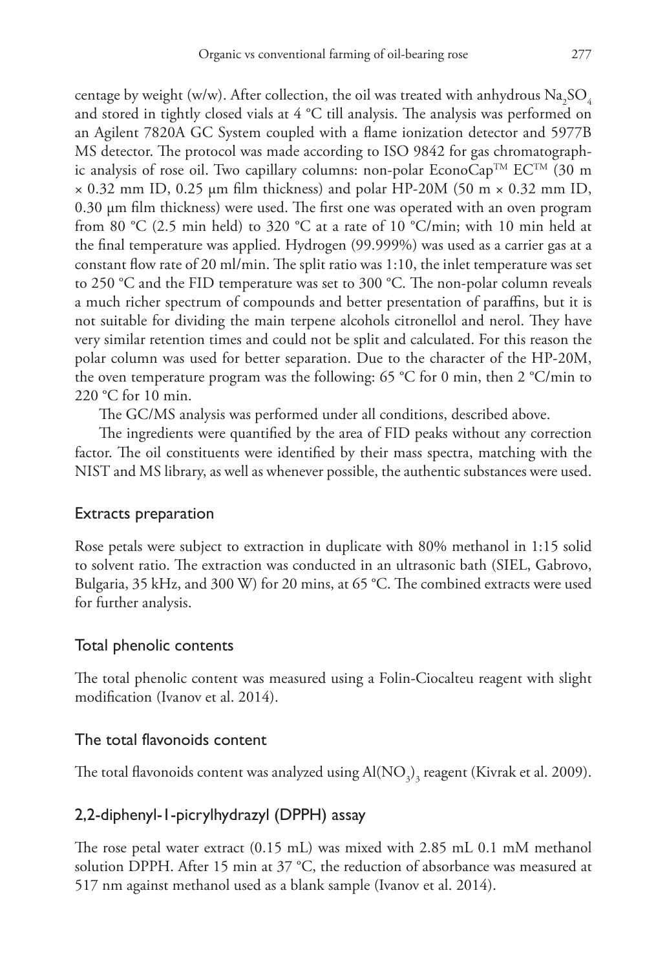centage by weight (w/w). After collection, the oil was treated with anhydrous  $\rm Na_2SO_4$ and stored in tightly closed vials at 4 °C till analysis. The analysis was performed on an Agilent 7820A GC System coupled with a flame ionization detector and 5977B MS detector. The protocol was made according to ISO 9842 for gas chromatographic analysis of rose oil. Two capillary columns: non-polar EconoCap<sup>TM</sup> EC<sup>TM</sup> (30 m  $\times$  0.32 mm ID, 0.25 µm film thickness) and polar HP-20M (50 m  $\times$  0.32 mm ID, 0.30 µm film thickness) were used. The first one was operated with an oven program from 80 °C (2.5 min held) to 320 °C at a rate of 10 °C/min; with 10 min held at the final temperature was applied. Hydrogen (99.999%) was used as a carrier gas at a constant flow rate of 20 ml/min. The split ratio was 1:10, the inlet temperature was set to 250 °C and the FID temperature was set to 300 °C. The non-polar column reveals a much richer spectrum of compounds and better presentation of paraffins, but it is not suitable for dividing the main terpene alcohols citronellol and nerol. They have very similar retention times and could not be split and calculated. For this reason the polar column was used for better separation. Due to the character of the HP-20M, the oven temperature program was the following: 65 °C for 0 min, then 2 °C/min to 220 °C for 10 min.

The GC/MS analysis was performed under all conditions, described above.

The ingredients were quantified by the area of FID peaks without any correction factor. The oil constituents were identified by their mass spectra, matching with the NIST and MS library, as well as whenever possible, the authentic substances were used.

#### Extracts preparation

Rose petals were subject to extraction in duplicate with 80% methanol in 1:15 solid to solvent ratio. The extraction was conducted in an ultrasonic bath (SIEL, Gabrovo, Bulgaria, 35 kHz, and 300 W) for 20 mins, at 65 °C. The combined extracts were used for further analysis.

#### Total phenolic contents

The total phenolic content was measured using a Folin-Ciocalteu reagent with slight modification (Ivanov et al. 2014).

#### The total flavonoids content

The total flavonoids content was analyzed using  $\text{Al}(\text{NO}_\text{3})_\text{3}$  reagent (Kivrak et al. 2009).

# 2,2-diphenyl-1-picrylhydrazyl (DPPH) assay

The rose petal water extract (0.15 mL) was mixed with 2.85 mL 0.1 mM methanol solution DPPH. After 15 min at 37 °C, the reduction of absorbance was measured at 517 nm against methanol used as a blank sample (Ivanov et al. 2014).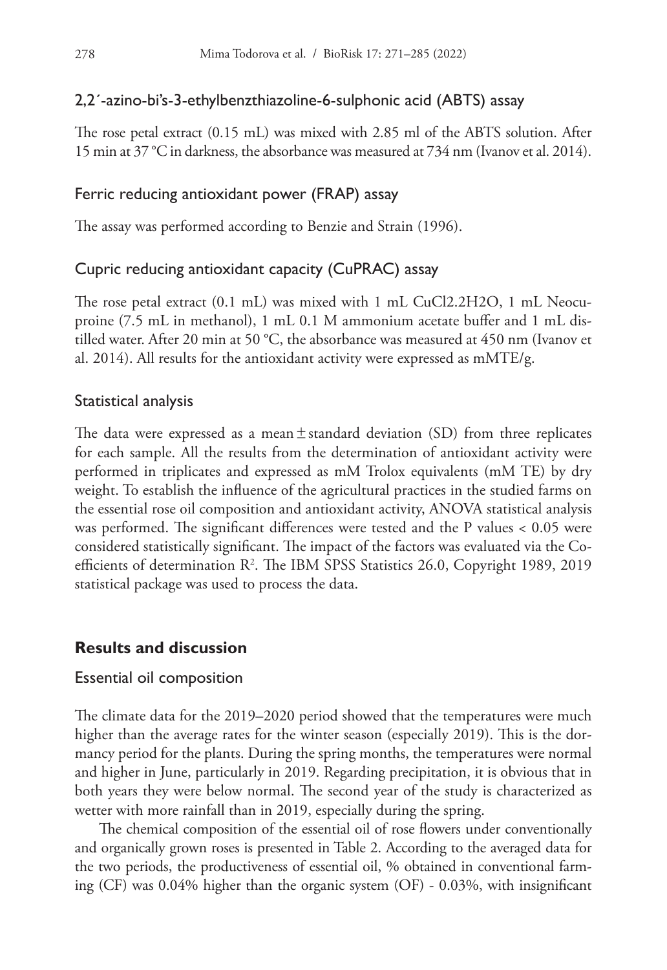# 2,2´-azino-bi's-3-ethylbenzthiazoline-6-sulphonic acid (ABTS) assay

The rose petal extract (0.15 mL) was mixed with 2.85 ml of the ABTS solution. After 15 min at 37 °C in darkness, the absorbance was measured at 734 nm (Ivanov et al. 2014).

# Ferric reducing antioxidant power (FRAP) assay

The assay was performed according to Benzie and Strain (1996).

## Cupric reducing antioxidant capacity (CuPRAC) assay

The rose petal extract (0.1 mL) was mixed with 1 mL CuCl2.2H2O, 1 mL Neocuproine (7.5 mL in methanol), 1 mL 0.1 M ammonium acetate buffer and 1 mL distilled water. After 20 min at 50 °C, the absorbance was measured at 450 nm (Ivanov et al. 2014). All results for the antioxidant activity were expressed as mMTE/g.

#### Statistical analysis

The data were expressed as a mean $\pm$ standard deviation (SD) from three replicates for each sample. All the results from the determination of antioxidant activity were performed in triplicates and expressed as mM Trolox equivalents (mM TE) by dry weight. To establish the influence of the agricultural practices in the studied farms on the essential rose oil composition and antioxidant activity, ANOVA statistical analysis was performed. The significant differences were tested and the P values  $< 0.05$  were considered statistically significant. The impact of the factors was evaluated via the Coefficients of determination R2 . The IBM SPSS Statistics 26.0, Copyright 1989, 2019 statistical package was used to process the data.

## **Results and discussion**

#### Essential oil composition

The climate data for the 2019–2020 period showed that the temperatures were much higher than the average rates for the winter season (especially 2019). This is the dormancy period for the plants. During the spring months, the temperatures were normal and higher in June, particularly in 2019. Regarding precipitation, it is obvious that in both years they were below normal. The second year of the study is characterized as wetter with more rainfall than in 2019, especially during the spring.

The chemical composition of the essential oil of rose flowers under conventionally and organically grown roses is presented in Table 2. According to the averaged data for the two periods, the productiveness of essential oil, % obtained in conventional farming (CF) was 0.04% higher than the organic system (OF) - 0.03%, with insignificant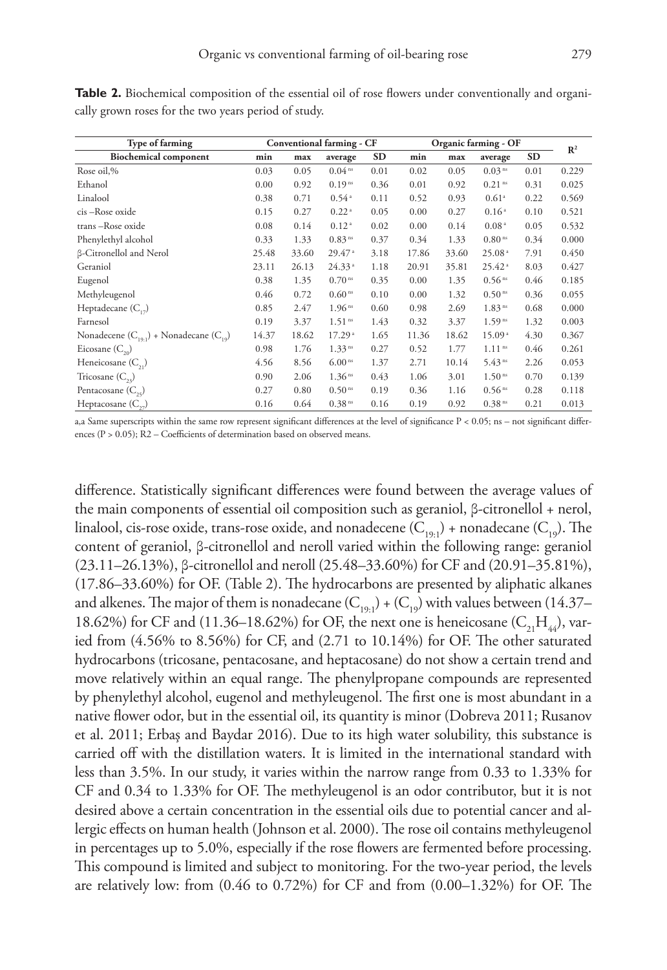| Type of farming                                 |       |       | Conventional farming - CF |           | Organic farming - OF |       |                      |           | $\mathbb{R}^2$ |
|-------------------------------------------------|-------|-------|---------------------------|-----------|----------------------|-------|----------------------|-----------|----------------|
| <b>Biochemical component</b>                    | min   | max   | average                   | <b>SD</b> | min                  | max   | average              | <b>SD</b> |                |
| Rose oil,%                                      | 0.03  | 0.05  | 0.04 <sup>ns</sup>        | 0.01      | 0.02                 | 0.05  | 0.03 <sup>ns</sup>   | 0.01      | 0.229          |
| Ethanol                                         | 0.00  | 0.92  | 0.19 <sup>ns</sup>        | 0.36      | 0.01                 | 0.92  | $0.21$ <sup>ns</sup> | 0.31      | 0.025          |
| Linalool                                        | 0.38  | 0.71  | 0.54 <sup>a</sup>         | 0.11      | 0.52                 | 0.93  | 0.61 <sup>a</sup>    | 0.22      | 0.569          |
| cis-Rose oxide                                  | 0.15  | 0.27  | 0.22 <sup>a</sup>         | 0.05      | 0.00                 | 0.27  | 0.16 <sup>a</sup>    | 0.10      | 0.521          |
| trans-Rose oxide                                | 0.08  | 0.14  | 0.12 <sup>a</sup>         | 0.02      | 0.00                 | 0.14  | 0.08 <sup>a</sup>    | 0.05      | 0.532          |
| Phenylethyl alcohol                             | 0.33  | 1.33  | 0.83 <sup>ns</sup>        | 0.37      | 0.34                 | 1.33  | $0.80$ <sup>ns</sup> | 0.34      | 0.000          |
| <b>ß-Citronellol</b> and Nerol                  | 25.48 | 33.60 | $29.47$ <sup>a</sup>      | 3.18      | 17.86                | 33.60 | 25.08 <sup>a</sup>   | 7.91      | 0.450          |
| Geraniol                                        | 23.11 | 26.13 | 24.33 <sup>a</sup>        | 1.18      | 20.91                | 35.81 | $25.42^{\circ}$      | 8.03      | 0.427          |
| Eugenol                                         | 0.38  | 1.35  | $0.70$ ns                 | 0.35      | 0.00                 | 1.35  | 0.56 <sup>ns</sup>   | 0.46      | 0.185          |
| Methyleugenol                                   | 0.46  | 0.72  | 0.60 <sup>ns</sup>        | 0.10      | 0.00                 | 1.32  | 0.50 <sup>ns</sup>   | 0.36      | 0.055          |
| Heptadecane $(C_{12})$                          | 0.85  | 2.47  | 1.96 <sup>ns</sup>        | 0.60      | 0.98                 | 2.69  | 1.83 <sup>ns</sup>   | 0.68      | 0.000          |
| Farnesol                                        | 0.19  | 3.37  | 1.51 <sup>ns</sup>        | 1.43      | 0.32                 | 3.37  | 1.59 <sup>ns</sup>   | 1.32      | 0.003          |
| Nonadecene $(C_{19.1})$ + Nonadecane $(C_{19})$ | 14.37 | 18.62 | 17.29 <sup>a</sup>        | 1.65      | 11.36                | 18.62 | 15.09 <sup>a</sup>   | 4.30      | 0.367          |
| Eicosane $(C_{20})$                             | 0.98  | 1.76  | 1.33 <sup>ns</sup>        | 0.27      | 0.52                 | 1.77  | $1.11$ <sup>ns</sup> | 0.46      | 0.261          |
| Heneicosane $(C_{2})$                           | 4.56  | 8.56  | 6.00 <sup>ns</sup>        | 1.37      | 2.71                 | 10.14 | 5.43 <sup>ns</sup>   | 2.26      | 0.053          |
| Tricosane $(C_{23})$                            | 0.90  | 2.06  | 1.36 <sup>ns</sup>        | 0.43      | 1.06                 | 3.01  | 1.50 <sup>ns</sup>   | 0.70      | 0.139          |
| Pentacosane $(C_{25})$                          | 0.27  | 0.80  | 0.50 <sup>ns</sup>        | 0.19      | 0.36                 | 1.16  | 0.56 <sup>ns</sup>   | 0.28      | 0.118          |
| Heptacosane $(C_{12})$                          | 0.16  | 0.64  | 0.38 <sup>ns</sup>        | 0.16      | 0.19                 | 0.92  | 0.38 <sup>ns</sup>   | 0.21      | 0.013          |

**Table 2.** Biochemical composition of the essential oil of rose flowers under conventionally and organically grown roses for the two years period of study.

a,a Same superscripts within the same row represent significant differences at the level of significance P < 0.05; ns – not significant differences (P > 0.05); R2 – Coefficients of determination based on observed means.

difference. Statistically significant differences were found between the average values of the main components of essential oil composition such as geraniol, β-citronellol + nerol, linalool, cis-rose oxide, trans-rose oxide, and nonadecene  $(C_{19\cdot1})$  + nonadecane  $(C_{19})$ . The content of geraniol, β-citronellol and neroll varied within the following range: geraniol (23.11–26.13%), β-citronellol and neroll (25.48–33.60%) for CF and (20.91–35.81%), (17.86–33.60%) for OF. (Table 2). The hydrocarbons are presented by aliphatic alkanes and alkenes. The major of them is nonadecane  $(C_{19\cdot1}) + (C_{19})$  with values between (14.37– 18.62%) for CF and (11.36–18.62%) for OF, the next one is heneicosane  $(C_{21}H_{44})$ , varied from (4.56% to 8.56%) for CF, and (2.71 to 10.14%) for OF. The other saturated hydrocarbons (tricosane, pentacosane, and heptacosane) do not show a certain trend and move relatively within an equal range. The phenylpropane compounds are represented by phenylethyl alcohol, eugenol and methyleugenol. The first one is most abundant in a native flower odor, but in the essential oil, its quantity is minor (Dobreva 2011; Rusanov et al. 2011; Erbaş and Baydar 2016). Due to its high water solubility, this substance is carried off with the distillation waters. It is limited in the international standard with less than 3.5%. In our study, it varies within the narrow range from 0.33 to 1.33% for CF and 0.34 to 1.33% for OF. The methyleugenol is an odor contributor, but it is not desired above a certain concentration in the essential oils due to potential cancer and allergic effects on human health (Johnson et al. 2000). The rose oil contains methyleugenol in percentages up to 5.0%, especially if the rose flowers are fermented before processing. This compound is limited and subject to monitoring. For the two-year period, the levels are relatively low: from (0.46 to 0.72%) for CF and from (0.00–1.32%) for OF. The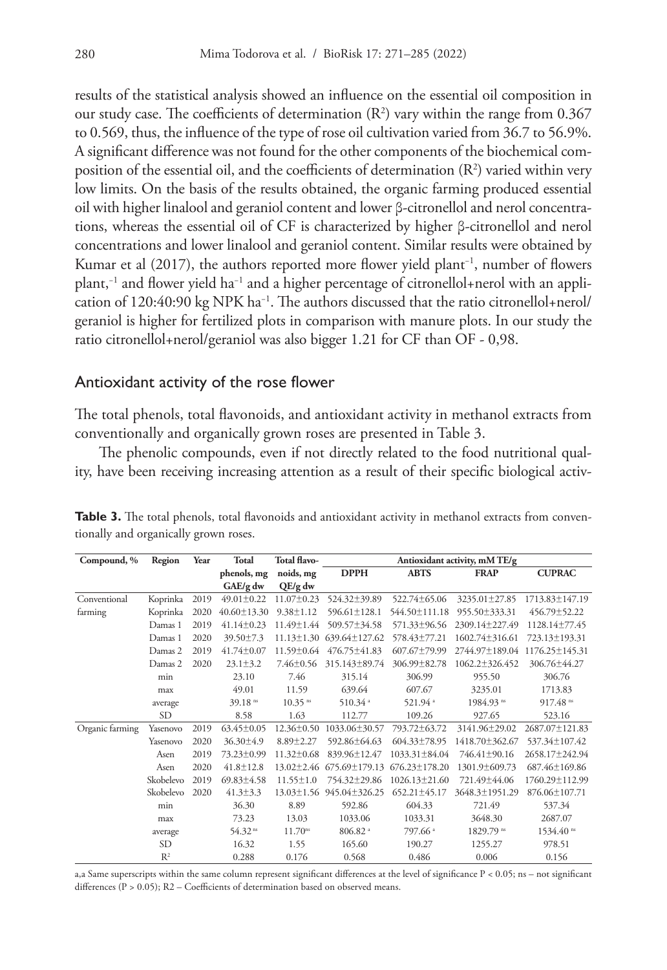results of the statistical analysis showed an influence on the essential oil composition in our study case. The coefficients of determination  $(R^2)$  vary within the range from 0.367 to 0.569, thus, the influence of the type of rose oil cultivation varied from 36.7 to 56.9%. A significant difference was not found for the other components of the biochemical composition of the essential oil, and the coefficients of determination  $(R^2)$  varied within very low limits. On the basis of the results obtained, the organic farming produced essential oil with higher linalool and geraniol content and lower β-citronellol and nerol concentrations, whereas the essential oil of CF is characterized by higher β-citronellol and nerol concentrations and lower linalool and geraniol content. Similar results were obtained by Kumar et al (2017), the authors reported more flower yield plant−1, number of flowers plant,−1 and flower yield ha−1 and a higher percentage of citronellol+nerol with an application of 120:40:90 kg NPK ha<sup>-1</sup>. The authors discussed that the ratio citronellol+nerol/ geraniol is higher for fertilized plots in comparison with manure plots. In our study the ratio citronellol+nerol/geraniol was also bigger 1.21 for CF than OF - 0,98.

#### Antioxidant activity of the rose flower

The total phenols, total flavonoids, and antioxidant activity in methanol extracts from conventionally and organically grown roses are presented in Table 3.

The phenolic compounds, even if not directly related to the food nutritional quality, have been receiving increasing attention as a result of their specific biological activ-

| Compound, %     | Region         | Year | <b>Total</b>        | Total flavo-          |                     | Antioxidant activity, mM TE/g<br><b>DPPH</b><br><b>ABTS</b><br><b>FRAP</b> |                |                        |  |  |
|-----------------|----------------|------|---------------------|-----------------------|---------------------|----------------------------------------------------------------------------|----------------|------------------------|--|--|
|                 |                |      | phenols, mg         | noids, mg             |                     |                                                                            |                | <b>CUPRAC</b>          |  |  |
|                 |                |      | GAE/g dw            | $QE/g$ dw             |                     |                                                                            |                |                        |  |  |
| Conventional    | Koprinka       | 2019 | $49.01 \pm 0.22$    | $11.07 \pm 0.23$      | 524.32±39.89        | 522.74±65.06                                                               | 3235.01±27.85  | 1713.83±147.19         |  |  |
| farming         | Koprinka       | 2020 | $40.60 \pm 13.30$   | $9.38 \pm 1.12$       | 596.61±128.1        | 544.50±111.18                                                              | 955.50±333.31  | 456.79±52.22           |  |  |
|                 | Damas 1        | 2019 | $41.14 \pm 0.23$    | 11.49±1.44            | 509.57±34.58        | 571.33±96.56                                                               | 2309.14±227.49 | 1128.14±77.45          |  |  |
|                 | Damas 1        | 2020 | 39.50±7.3           | $11.13 \pm 1.30$      | $639.64 \pm 127.62$ | 578.43±77.21                                                               | 1602.74±316.61 | 723.13±193.31          |  |  |
|                 | Damas 2        | 2019 | $41.74 \pm 0.07$    | 11.59±0.64            | 476.75±41.83        | 607.67±79.99                                                               | 2744.97±189.04 | 1176.25±145.31         |  |  |
|                 | Damas 2        | 2020 | $23.1 \pm 3.2$      | $7.46 \pm 0.56$       | 315.143±89.74       | 306.99±82.78                                                               | 1062.2±326.452 | 306.76±44.27           |  |  |
|                 | min            |      | 23.10               | 7.46                  | 315.14              | 306.99                                                                     | 955.50         | 306.76                 |  |  |
|                 | max            |      | 49.01               | 11.59                 | 639.64              | 607.67                                                                     | 3235.01        | 1713.83                |  |  |
|                 | average        |      | 39.18 ns            | $10.35$ <sup>ns</sup> | 510.34 <sup>a</sup> | 521.94 <sup>a</sup>                                                        | 1984.93 ns     | $917.48$ <sup>ms</sup> |  |  |
|                 | SD             |      | 8.58                | 1.63                  | 112.77              | 109.26                                                                     | 927.65         | 523.16                 |  |  |
| Organic farming | Yasenovo       | 2019 | $63.45 \pm 0.05$    | $12.36 \pm 0.50$      | 1033.06±30.57       | 793.72±63.72                                                               | 3141.96±29.02  | 2687.07±121.83         |  |  |
|                 | Yasenovo       | 2020 | 36.30±4.9           | $8.89 \pm 2.27$       | 592.86±64.63        | 604.33±78.95                                                               | 1418.70±362.67 | 537.34±107.42          |  |  |
|                 | Asen           | 2019 | 73.23±0.99          | $11.32 \pm 0.68$      | 839.96±12.47        | 1033.31±84.04                                                              | 746.41±90.16   | 2658.17±242.94         |  |  |
|                 | Asen           | 2020 | $41.8 \pm 12.8$     | $13.02 \pm 2.46$      | 675.69±179.13       | $676.23 \pm 178.20$                                                        | 1301.9±609.73  | 687.46±169.86          |  |  |
|                 | Skobelevo      | 2019 | $69.83 \pm 4.58$    | $11.55 \pm 1.0$       | 754.32±29.86        | 1026.13±21.60                                                              | 721.49±44.06   | 1760.29±112.99         |  |  |
|                 | Skobelevo      | 2020 | $41.3 \pm 3.3$      | $13.03 \pm 1.56$      | 945.04±326.25       | 652.21±45.17                                                               | 3648.3±1951.29 | 876.06±107.71          |  |  |
|                 | min            |      | 36.30               | 8.89                  | 592.86              | 604.33                                                                     | 721.49         | 537.34                 |  |  |
|                 | max            |      | 73.23               | 13.03                 | 1033.06             | 1033.31                                                                    | 3648.30        | 2687.07                |  |  |
|                 | average        |      | 54.32 <sup>ns</sup> | 11.70 <sup>ns</sup>   | 806.82 <sup>a</sup> | 797.66 <sup>a</sup>                                                        | 1829.79 ns     | 1534.40 ns             |  |  |
|                 | SD             |      | 16.32               | 1.55                  | 165.60              | 190.27                                                                     | 1255.27        | 978.51                 |  |  |
|                 | R <sup>2</sup> |      | 0.288               | 0.176                 | 0.568               | 0.486                                                                      | 0.006          | 0.156                  |  |  |

**Table 3.** The total phenols, total flavonoids and antioxidant activity in methanol extracts from conventionally and organically grown roses.

a,a Same superscripts within the same column represent significant differences at the level of significance P < 0.05; ns – not significant differences (P > 0.05); R2 – Coefficients of determination based on observed means.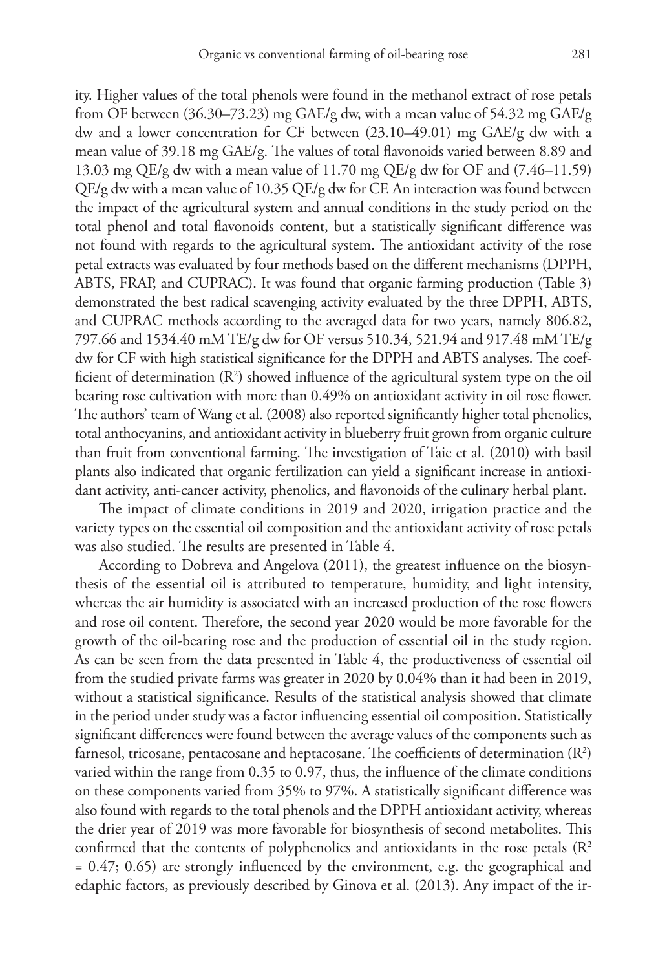ity. Higher values of the total phenols were found in the methanol extract of rose petals from OF between (36.30–73.23) mg GAE/g dw, with a mean value of 54.32 mg GAE/g dw and a lower concentration for CF between (23.10–49.01) mg GAE/g dw with a mean value of 39.18 mg GAE/g. The values of total flavonoids varied between 8.89 and 13.03 mg QE/g dw with a mean value of 11.70 mg QE/g dw for OF and (7.46–11.59)  $QE/g$  dw with a mean value of 10.35  $QE/g$  dw for CF. An interaction was found between the impact of the agricultural system and annual conditions in the study period on the total phenol and total flavonoids content, but a statistically significant difference was not found with regards to the agricultural system. The antioxidant activity of the rose petal extracts was evaluated by four methods based on the different mechanisms (DPPH, ABTS, FRAP, and CUPRAC). It was found that organic farming production (Table 3) demonstrated the best radical scavenging activity evaluated by the three DPPH, ABTS, and CUPRAC methods according to the averaged data for two years, namely 806.82, 797.66 and 1534.40 mM TE/g dw for OF versus 510.34, 521.94 and 917.48 mM TE/g dw for CF with high statistical significance for the DPPH and ABTS analyses. The coefficient of determination (R<sup>2</sup>) showed influence of the agricultural system type on the oil bearing rose cultivation with more than 0.49% on antioxidant activity in oil rose flower. The authors' team of Wang et al. (2008) also reported significantly higher total phenolics, total anthocyanins, and antioxidant activity in blueberry fruit grown from organic culture than fruit from conventional farming. The investigation of Taie et al. (2010) with basil plants also indicated that organic fertilization can yield a significant increase in antioxidant activity, anti-cancer activity, phenolics, and flavonoids of the culinary herbal plant.

The impact of climate conditions in 2019 and 2020, irrigation practice and the variety types on the essential oil composition and the antioxidant activity of rose petals was also studied. The results are presented in Table 4.

According to Dobreva and Angelova (2011), the greatest influence on the biosynthesis of the essential oil is attributed to temperature, humidity, and light intensity, whereas the air humidity is associated with an increased production of the rose flowers and rose oil content. Therefore, the second year 2020 would be more favorable for the growth of the oil-bearing rose and the production of essential oil in the study region. As can be seen from the data presented in Table 4, the productiveness of essential oil from the studied private farms was greater in 2020 by 0.04% than it had been in 2019, without a statistical significance. Results of the statistical analysis showed that climate in the period under study was a factor influencing essential oil composition. Statistically significant differences were found between the average values of the components such as farnesol, tricosane, pentacosane and heptacosane. The coefficients of determination  $(\mathbb{R}^2)$ varied within the range from 0.35 to 0.97, thus, the influence of the climate conditions on these components varied from 35% to 97%. A statistically significant difference was also found with regards to the total phenols and the DPPH antioxidant activity, whereas the drier year of 2019 was more favorable for biosynthesis of second metabolites. This confirmed that the contents of polyphenolics and antioxidants in the rose petals  $(R^2)$  $= 0.47; 0.65$  are strongly influenced by the environment, e.g. the geographical and edaphic factors, as previously described by Ginova et al. (2013). Any impact of the ir-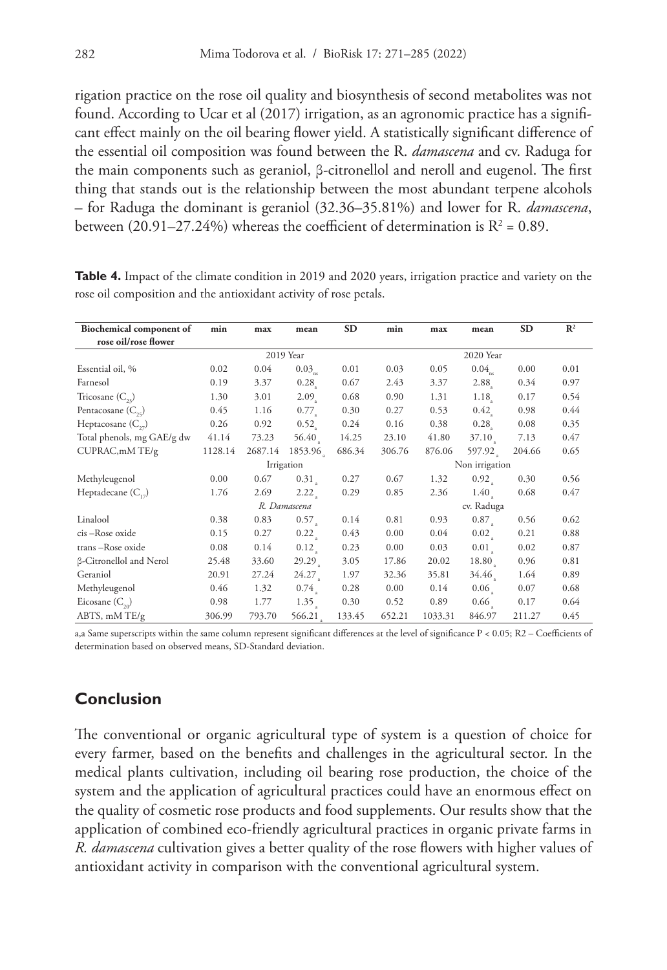rigation practice on the rose oil quality and biosynthesis of second metabolites was not found. According to Ucar et al (2017) irrigation, as an agronomic practice has a significant effect mainly on the oil bearing flower yield. A statistically significant difference of the essential oil composition was found between the R. *damascena* and cv. Raduga for the main components such as geraniol, β-citronellol and neroll and eugenol. The first thing that stands out is the relationship between the most abundant terpene alcohols – for Raduga the dominant is geraniol (32.36–35.81%) and lower for R. *damascena*, between (20.91–27.24%) whereas the coefficient of determination is  $R^2$  = 0.89.

| Biochemical component of   | min          | max     | mean                       | <b>SD</b> | min            | max        | mean               | <b>SD</b> | $\mathbb{R}^2$ |  |  |
|----------------------------|--------------|---------|----------------------------|-----------|----------------|------------|--------------------|-----------|----------------|--|--|
| rose oil/rose flower       |              |         |                            |           |                |            |                    |           |                |  |  |
|                            |              |         | 2019 Year                  |           | 2020 Year      |            |                    |           |                |  |  |
| Essential oil, %           | 0.02         | 0.04    | $0.03_{\textrm{\tiny ns}}$ | 0.01      | 0.03           | 0.05       | $0.04_{\text{ns}}$ | 0.00      | 0.01           |  |  |
| Farnesol                   | 0.19         | 3.37    | 0.28                       | 0.67      | 2.43           | 3.37       | 2.88               | 0.34      | 0.97           |  |  |
| Tricosane $(C_{22})$       | 1.30         | 3.01    | 2.09                       | 0.68      | 0.90           | 1.31       | 1.18               | 0.17      | 0.54           |  |  |
| Pentacosane $(C_{25})$     | 0.45         | 1.16    | $0.77$ <sub>2</sub>        | 0.30      | 0.27           | 0.53       | 0.42               | 0.98      | 0.44           |  |  |
| Heptacosane $(C_{22})$     | 0.26         | 0.92    | 0.52                       | 0.24      | 0.16           | 0.38       | 0.28               | 0.08      | 0.35           |  |  |
| Total phenols, mg GAE/g dw | 41.14        | 73.23   | 56.40                      | 14.25     | 23.10          | 41.80      | 37.10              | 7.13      | 0.47           |  |  |
| CUPRAC, mM TE/g            | 1128.14      | 2687.14 | 1853.96                    | 686.34    | 306.76         | 876.06     | 597.92             | 204.66    | 0.65           |  |  |
|                            |              |         | Irrigation                 |           | Non irrigation |            |                    |           |                |  |  |
| Methyleugenol              | 0.00         | 0.67    | 0.31                       | 0.27      | 0.67           | 1.32       | 0.92 <sub>1</sub>  | 0.30      | 0.56           |  |  |
| Heptadecane $(C_{12})$     | 1.76         | 2.69    | 2.22                       | 0.29      | 0.85           | 2.36       | 1.40               | 0.68      | 0.47           |  |  |
|                            | R. Damascena |         |                            |           |                | cv. Raduga |                    |           |                |  |  |
| Linalool                   | 0.38         | 0.83    | 0.57                       | 0.14      | 0.81           | 0.93       | 0.87               | 0.56      | 0.62           |  |  |
| cis-Rose oxide             | 0.15         | 0.27    | 0.22                       | 0.43      | 0.00           | 0.04       | 0.02               | 0.21      | 0.88           |  |  |
| trans-Rose oxide           | 0.08         | 0.14    | 0.12                       | 0.23      | 0.00           | 0.03       | 0.01               | 0.02      | 0.87           |  |  |
| β-Citronellol and Nerol    | 25.48        | 33.60   | 29.29 <sub>a</sub>         | 3.05      | 17.86          | 20.02      | 18.80              | 0.96      | 0.81           |  |  |
| Geraniol                   | 20.91        | 27.24   | 24.27                      | 1.97      | 32.36          | 35.81      | 34.46              | 1.64      | 0.89           |  |  |
| Methyleugenol              | 0.46         | 1.32    | 0.74                       | 0.28      | 0.00           | 0.14       | 0.06 <sub>2</sub>  | 0.07      | 0.68           |  |  |
| Eicosane $(C_{20})$        | 0.98         | 1.77    | 1.35                       | 0.30      | 0.52           | 0.89       | 0.66 <sub>1</sub>  | 0.17      | 0.64           |  |  |
| ABTS, mM TE/g              | 306.99       | 793.70  | 566.21                     | 133.45    | 652.21         | 1033.31    | 846.97             | 211.27    | 0.45           |  |  |

**Table 4.** Impact of the climate condition in 2019 and 2020 years, irrigation practice and variety on the rose oil composition and the antioxidant activity of rose petals.

a,a Same superscripts within the same column represent significant differences at the level of significance P < 0.05; R2 – Coefficients of determination based on observed means, SD-Standard deviation.

# **Conclusion**

The conventional or organic agricultural type of system is a question of choice for every farmer, based on the benefits and challenges in the agricultural sector. In the medical plants cultivation, including oil bearing rose production, the choice of the system and the application of agricultural practices could have an enormous effect on the quality of cosmetic rose products and food supplements. Our results show that the application of combined eco-friendly agricultural practices in organic private farms in *R. damascena* cultivation gives a better quality of the rose flowers with higher values of antioxidant activity in comparison with the conventional agricultural system.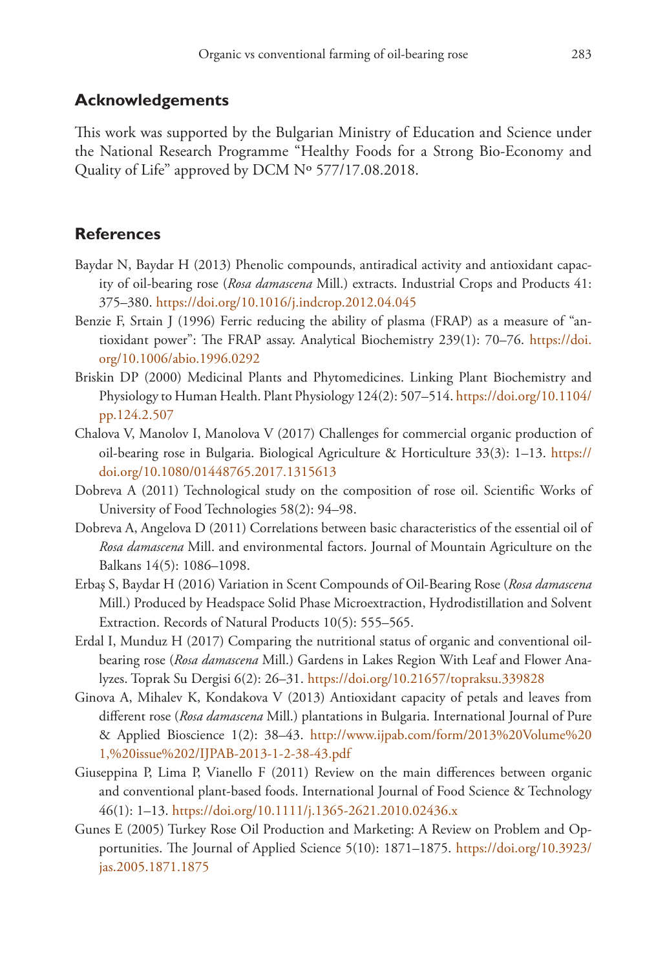# **Acknowledgements**

This work was supported by the Bulgarian Ministry of Education and Science under the National Research Programme "Healthy Foods for a Strong Bio-Economy and Quality of Life" approved by DCM Nº 577/17.08.2018.

# **References**

- Baydar N, Baydar H (2013) Phenolic compounds, antiradical activity and antioxidant capacity of oil-bearing rose (*Rosa damascena* Mill.) extracts. Industrial Crops and Products 41: 375–380.<https://doi.org/10.1016/j.indcrop.2012.04.045>
- Benzie F, Srtain J (1996) Ferric reducing the ability of plasma (FRAP) as a measure of "antioxidant power": The FRAP assay. Analytical Biochemistry 239(1): 70–76. [https://doi.](https://doi.org/10.1006/abio.1996.0292) [org/10.1006/abio.1996.0292](https://doi.org/10.1006/abio.1996.0292)
- Briskin DP (2000) Medicinal Plants and Phytomedicines. Linking Plant Biochemistry and Physiology to Human Health. Plant Physiology 124(2): 507–514. [https://doi.org/10.1104/](https://doi.org/10.1104/pp.124.2.507) [pp.124.2.507](https://doi.org/10.1104/pp.124.2.507)
- Chalova V, Manolov I, Manolova V (2017) Challenges for commercial organic production of oil-bearing rose in Bulgaria. Biological Agriculture & Horticulture 33(3): 1–13. [https://](https://doi.org/10.1080/01448765.2017.1315613) [doi.org/10.1080/01448765.2017.1315613](https://doi.org/10.1080/01448765.2017.1315613)
- Dobreva A (2011) Technological study on the composition of rose oil. Scientific Works of University of Food Technologies 58(2): 94–98.
- Dobreva A, Angelova D (2011) Correlations between basic characteristics of the essential oil of *Rosa damascena* Mill. and environmental factors. Journal of Mountain Agriculture on the Balkans 14(5): 1086–1098.
- Erbaş S, Baydar H (2016) Variation in Scent Compounds of Oil-Bearing Rose (*Rosa damascena* Mill.) Produced by Headspace Solid Phase Microextraction, Hydrodistillation and Solvent Extraction. Records of Natural Products 10(5): 555–565.
- Erdal I, Munduz H (2017) Comparing the nutritional status of organic and conventional oilbearing rose (*Rosa damascena* Mill.) Gardens in Lakes Region With Leaf and Flower Analyzes. Toprak Su Dergisi 6(2): 26–31. <https://doi.org/10.21657/topraksu.339828>
- Ginova A, Mihalev K, Kondakova V (2013) Antioxidant capacity of petals and leaves from different rose (*Rosa damascena* Mill.) plantations in Bulgaria. International Journal of Pure & Applied Bioscience 1(2): 38–43. [http://www.ijpab.com/form/2013%20Volume%20](http://www.ijpab.com/form/2013%20Volume%201,%20issue%202/IJPAB-2013-1-2-38-43.pdf) [1,%20issue%202/IJPAB-2013-1-2-38-43.pdf](http://www.ijpab.com/form/2013%20Volume%201,%20issue%202/IJPAB-2013-1-2-38-43.pdf)
- Giuseppina P, Lima P, Vianello F (2011) Review on the main differences between organic and conventional plant-based foods. International Journal of Food Science & Technology 46(1): 1–13. <https://doi.org/10.1111/j.1365-2621.2010.02436.x>
- Gunes E (2005) Turkey Rose Oil Production and Marketing: A Review on Problem and Opportunities. The Journal of Applied Science 5(10): 1871–1875. [https://doi.org/10.3923/](https://doi.org/10.3923/jas.2005.1871.1875) [jas.2005.1871.1875](https://doi.org/10.3923/jas.2005.1871.1875)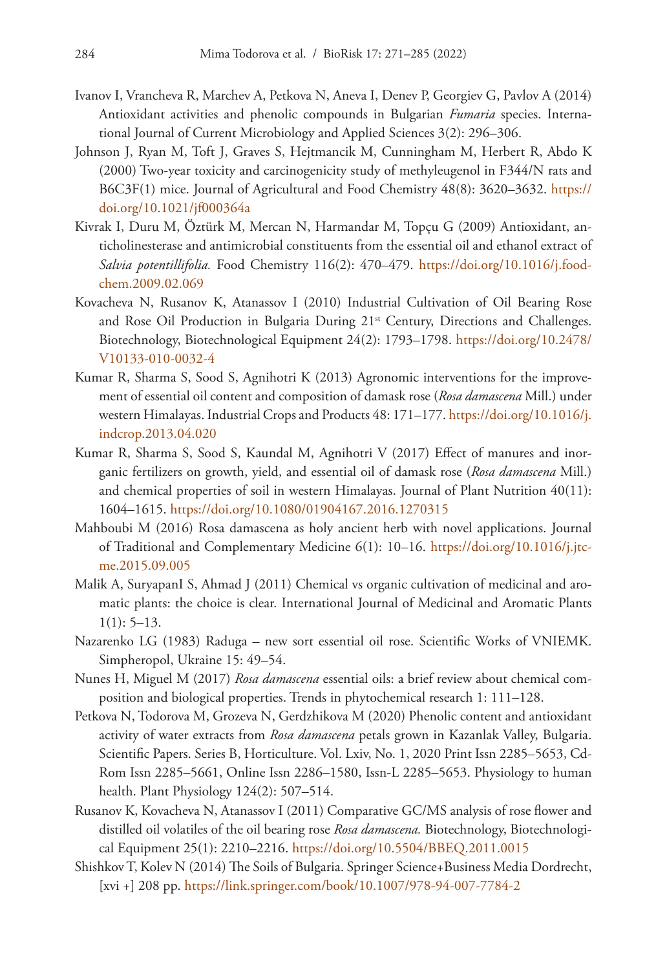- Ivanov I, Vrancheva R, Marchev A, Petkova N, Aneva I, Denev P, Georgiev G, Pavlov A (2014) Antioxidant activities and phenolic compounds in Bulgarian *Fumaria* species. International Journal of Current Microbiology and Applied Sciences 3(2): 296–306.
- Johnson J, Ryan M, Toft J, Graves S, Hejtmancik M, Cunningham M, Herbert R, Abdo K (2000) Two-year toxicity and carcinogenicity study of methyleugenol in F344/N rats and B6C3F(1) mice. Journal of Agricultural and Food Chemistry 48(8): 3620–3632. [https://](https://doi.org/10.1021/jf000364a) [doi.org/10.1021/jf000364a](https://doi.org/10.1021/jf000364a)
- Kivrak I, Duru M, Öztürk M, Mercan N, Harmandar M, Topçu G (2009) Antioxidant, anticholinesterase and antimicrobial constituents from the essential oil and ethanol extract of *Salvia potentillifolia.* Food Chemistry 116(2): 470–479. [https://doi.org/10.1016/j.food](https://doi.org/10.1016/j.foodchem.2009.02.069)[chem.2009.02.069](https://doi.org/10.1016/j.foodchem.2009.02.069)
- Kovacheva N, Rusanov K, Atanassov I (2010) Industrial Cultivation of Oil Bearing Rose and Rose Oil Production in Bulgaria During 21<sup>st</sup> Century, Directions and Challenges. Biotechnology, Biotechnological Equipment 24(2): 1793–1798. [https://doi.org/10.2478/](https://doi.org/10.2478/V10133-010-0032-4) [V10133-010-0032-4](https://doi.org/10.2478/V10133-010-0032-4)
- Kumar R, Sharma S, Sood S, Agnihotri K (2013) Agronomic interventions for the improvement of essential oil content and composition of damask rose (*Rosa damascena* Mill.) under western Himalayas. Industrial Crops and Products 48: 171–177. [https://doi.org/10.1016/j.](https://doi.org/10.1016/j.indcrop.2013.04.020) [indcrop.2013.04.020](https://doi.org/10.1016/j.indcrop.2013.04.020)
- Kumar R, Sharma S, Sood S, Kaundal M, Agnihotri V (2017) Effect of manures and inorganic fertilizers on growth, yield, and essential oil of damask rose (*Rosa damascena* Mill.) and chemical properties of soil in western Himalayas. Journal of Plant Nutrition 40(11): 1604–1615.<https://doi.org/10.1080/01904167.2016.1270315>
- Mahboubi M (2016) Rosa damascena as holy ancient herb with novel applications. Journal of Traditional and Complementary Medicine 6(1): 10–16. [https://doi.org/10.1016/j.jtc](https://doi.org/10.1016/j.jtcme.2015.09.005)[me.2015.09.005](https://doi.org/10.1016/j.jtcme.2015.09.005)
- Malik A, SuryapanI S, Ahmad J (2011) Chemical vs organic cultivation of medicinal and aromatic plants: the choice is clear. International Journal of Medicinal and Aromatic Plants  $1(1): 5-13.$
- Nazarenko LG (1983) Raduga new sort essential oil rose. Scientific Works of VNIEMK. Simpheropol, Ukraine 15: 49–54.
- Nunes H, Miguel M (2017) *Rosa damascena* essential oils: a brief review about chemical composition and biological properties. Trends in phytochemical research 1: 111–128.
- Petkova N, Todorova M, Grozeva N, Gerdzhikova M (2020) Phenolic content and antioxidant activity of water extracts from *Rosa damascena* petals grown in Kazanlak Valley, Bulgaria. Scientific Papers. Series B, Horticulture. Vol. Lxiv, No. 1, 2020 Print Issn 2285–5653, Cd-Rom Issn 2285–5661, Online Issn 2286–1580, Issn-L 2285–5653. Physiology to human health. Plant Physiology 124(2): 507–514.
- Rusanov K, Kovacheva N, Atanassov I (2011) Comparative GC/MS analysis of rose flower and distilled oil volatiles of the oil bearing rose *Rosa damascena.* Biotechnology, Biotechnological Equipment 25(1): 2210–2216.<https://doi.org/10.5504/BBEQ.2011.0015>
- Shishkov T, Kolev N (2014) The Soils of Bulgaria. Springer Science+Business Media Dordrecht, [xvi +] 208 pp.<https://link.springer.com/book/10.1007/978-94-007-7784-2>